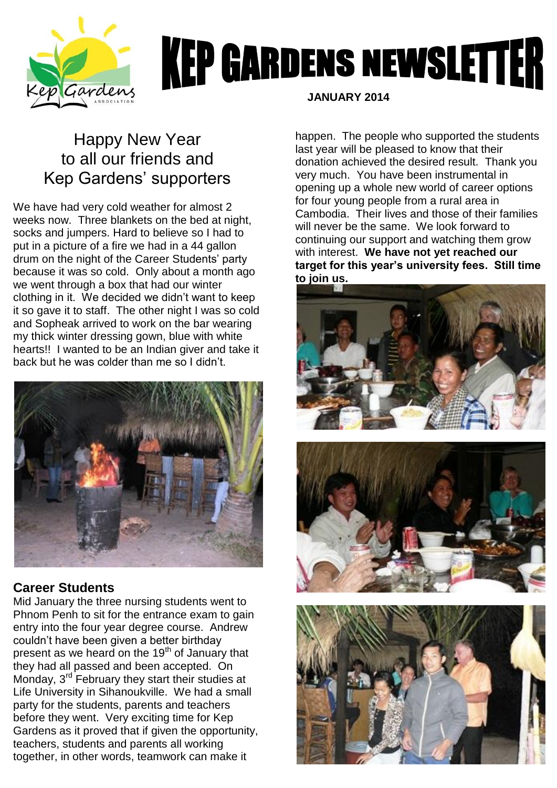

# **KEP GARDENS NEWSLETTER**

## Happy New Year to all our friends and Kep Gardens' supporters

We have had very cold weather for almost 2 weeks now. Three blankets on the bed at night, socks and jumpers. Hard to believe so I had to put in a picture of a fire we had in a 44 gallon drum on the night of the Career Students' party because it was so cold. Only about a month ago we went through a box that had our winter clothing in it. We decided we didn't want to keep it so gave it to staff. The other night I was so cold and Sopheak arrived to work on the bar wearing my thick winter dressing gown, blue with white hearts!! I wanted to be an Indian giver and take it back but he was colder than me so I didn't.



#### **Career Students**

Mid January the three nursing students went to Phnom Penh to sit for the entrance exam to gain entry into the four year degree course. Andrew couldn't have been given a better birthday present as we heard on the 19<sup>th</sup> of January that they had all passed and been accepted. On Monday, 3<sup>rd</sup> February they start their studies at Life University in Sihanoukville. We had a small party for the students, parents and teachers before they went. Very exciting time for Kep Gardens as it proved that if given the opportunity, teachers, students and parents all working together, in other words, teamwork can make it

 **JANUARY 2014**

happen. The people who supported the students last year will be pleased to know that their donation achieved the desired result. Thank you very much. You have been instrumental in opening up a whole new world of career options for four young people from a rural area in Cambodia. Their lives and those of their families will never be the same. We look forward to continuing our support and watching them grow with interest. **We have not yet reached our target for this year's university fees. Still time to join us.**





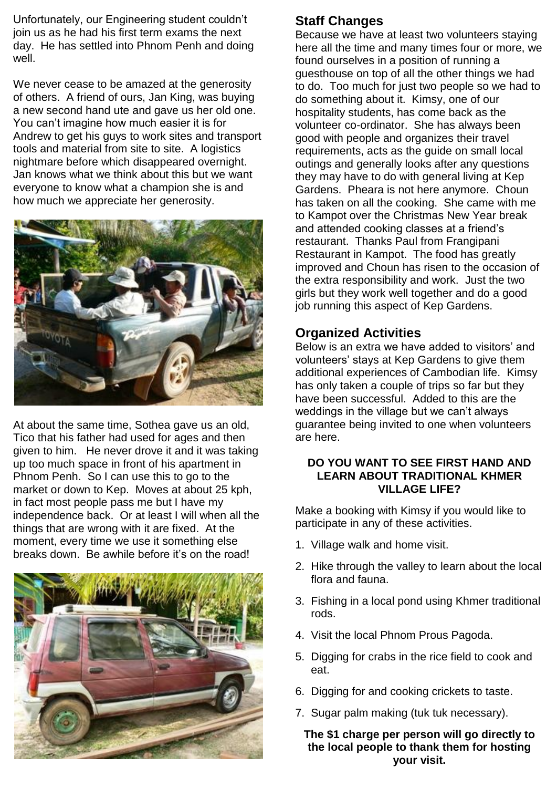Unfortunately, our Engineering student couldn't join us as he had his first term exams the next day. He has settled into Phnom Penh and doing well.

We never cease to be amazed at the generosity of others. A friend of ours, Jan King, was buying a new second hand ute and gave us her old one. You can't imagine how much easier it is for Andrew to get his guys to work sites and transport tools and material from site to site. A logistics nightmare before which disappeared overnight. Jan knows what we think about this but we want everyone to know what a champion she is and how much we appreciate her generosity.



At about the same time, Sothea gave us an old, Tico that his father had used for ages and then given to him. He never drove it and it was taking up too much space in front of his apartment in Phnom Penh. So I can use this to go to the market or down to Kep. Moves at about 25 kph, in fact most people pass me but I have my independence back. Or at least I will when all the things that are wrong with it are fixed. At the moment, every time we use it something else breaks down. Be awhile before it's on the road!



### **Staff Changes**

Because we have at least two volunteers staying here all the time and many times four or more, we found ourselves in a position of running a guesthouse on top of all the other things we had to do. Too much for just two people so we had to do something about it. Kimsy, one of our hospitality students, has come back as the volunteer co-ordinator. She has always been good with people and organizes their travel requirements, acts as the guide on small local outings and generally looks after any questions they may have to do with general living at Kep Gardens. Pheara is not here anymore. Choun has taken on all the cooking. She came with me to Kampot over the Christmas New Year break and attended cooking classes at a friend's restaurant. Thanks Paul from Frangipani Restaurant in Kampot. The food has greatly improved and Choun has risen to the occasion of the extra responsibility and work. Just the two girls but they work well together and do a good job running this aspect of Kep Gardens.

#### **Organized Activities**

Below is an extra we have added to visitors' and volunteers' stays at Kep Gardens to give them additional experiences of Cambodian life. Kimsy has only taken a couple of trips so far but they have been successful. Added to this are the weddings in the village but we can't always guarantee being invited to one when volunteers are here.

#### **DO YOU WANT TO SEE FIRST HAND AND LEARN ABOUT TRADITIONAL KHMER VILLAGE LIFE?**

Make a booking with Kimsy if you would like to participate in any of these activities.

- 1. Village walk and home visit.
- 2. Hike through the valley to learn about the local flora and fauna.
- 3. Fishing in a local pond using Khmer traditional rods.
- 4. Visit the local Phnom Prous Pagoda.
- 5. Digging for crabs in the rice field to cook and eat.
- 6. Digging for and cooking crickets to taste.
- 7. Sugar palm making (tuk tuk necessary).

**The \$1 charge per person will go directly to the local people to thank them for hosting your visit.**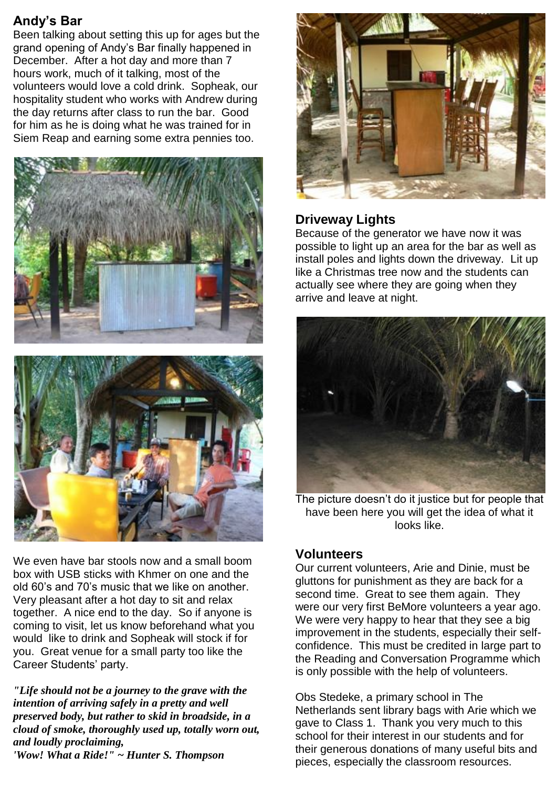### **Andy's Bar**

Been talking about setting this up for ages but the grand opening of Andy's Bar finally happened in December. After a hot day and more than 7 hours work, much of it talking, most of the volunteers would love a cold drink. Sopheak, our hospitality student who works with Andrew during the day returns after class to run the bar. Good for him as he is doing what he was trained for in Siem Reap and earning some extra pennies too.



We even have bar stools now and a small boom box with USB sticks with Khmer on one and the old 60's and 70's music that we like on another. Very pleasant after a hot day to sit and relax together. A nice end to the day. So if anyone is coming to visit, let us know beforehand what you would like to drink and Sopheak will stock if for you. Great venue for a small party too like the Career Students' party.

*"Life should not be a journey to the grave with the intention of arriving safely in a pretty and well preserved body, but rather to skid in broadside, in a cloud of smoke, thoroughly used up, totally worn out, and loudly proclaiming, 'Wow! What a Ride!" ~ Hunter S. Thompson*



#### **Driveway Lights**

Because of the generator we have now it was possible to light up an area for the bar as well as install poles and lights down the driveway. Lit up like a Christmas tree now and the students can actually see where they are going when they arrive and leave at night.



The picture doesn't do it justice but for people that have been here you will get the idea of what it looks like.

#### **Volunteers**

Our current volunteers, Arie and Dinie, must be gluttons for punishment as they are back for a second time. Great to see them again. They were our very first BeMore volunteers a year ago. We were very happy to hear that they see a big improvement in the students, especially their selfconfidence. This must be credited in large part to the Reading and Conversation Programme which is only possible with the help of volunteers.

Obs Stedeke, a primary school in The Netherlands sent library bags with Arie which we gave to Class 1. Thank you very much to this school for their interest in our students and for their generous donations of many useful bits and pieces, especially the classroom resources.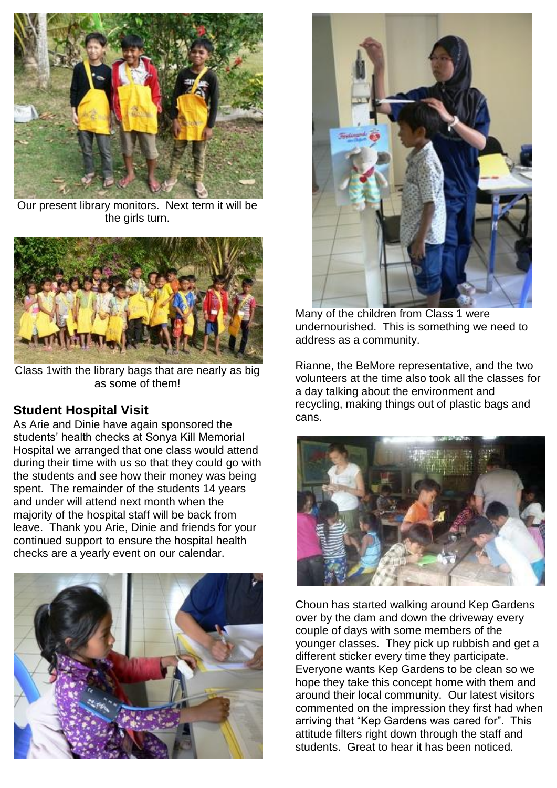

Our present library monitors. Next term it will be the girls turn.



Class 1with the library bags that are nearly as big as some of them!

#### **Student Hospital Visit**

As Arie and Dinie have again sponsored the students' health checks at Sonya Kill Memorial Hospital we arranged that one class would attend during their time with us so that they could go with the students and see how their money was being spent. The remainder of the students 14 years and under will attend next month when the majority of the hospital staff will be back from leave. Thank you Arie, Dinie and friends for your continued support to ensure the hospital health checks are a yearly event on our calendar.





 Many of the children from Class 1 were undernourished. This is something we need to address as a community.

Rianne, the BeMore representative, and the two volunteers at the time also took all the classes for a day talking about the environment and recycling, making things out of plastic bags and cans.



Choun has started walking around Kep Gardens over by the dam and down the driveway every couple of days with some members of the younger classes. They pick up rubbish and get a different sticker every time they participate. Everyone wants Kep Gardens to be clean so we hope they take this concept home with them and around their local community. Our latest visitors commented on the impression they first had when arriving that "Kep Gardens was cared for". This attitude filters right down through the staff and students. Great to hear it has been noticed.